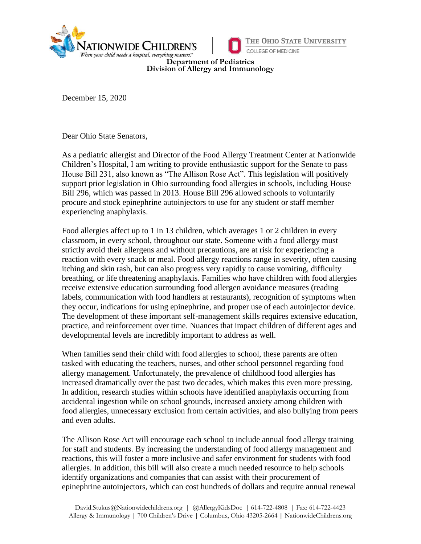



**Department of Pediatrics Division of Allergy and Immunology**

December 15, 2020

Dear Ohio State Senators,

As a pediatric allergist and Director of the Food Allergy Treatment Center at Nationwide Children's Hospital, I am writing to provide enthusiastic support for the Senate to pass House Bill 231, also known as "The Allison Rose Act". This legislation will positively support prior legislation in Ohio surrounding food allergies in schools, including House Bill 296, which was passed in 2013. House Bill 296 allowed schools to voluntarily procure and stock epinephrine autoinjectors to use for any student or staff member experiencing anaphylaxis.

Food allergies affect up to 1 in 13 children, which averages 1 or 2 children in every classroom, in every school, throughout our state. Someone with a food allergy must strictly avoid their allergens and without precautions, are at risk for experiencing a reaction with every snack or meal. Food allergy reactions range in severity, often causing itching and skin rash, but can also progress very rapidly to cause vomiting, difficulty breathing, or life threatening anaphylaxis. Families who have children with food allergies receive extensive education surrounding food allergen avoidance measures (reading labels, communication with food handlers at restaurants), recognition of symptoms when they occur, indications for using epinephrine, and proper use of each autoinjector device. The development of these important self-management skills requires extensive education, practice, and reinforcement over time. Nuances that impact children of different ages and developmental levels are incredibly important to address as well.

When families send their child with food allergies to school, these parents are often tasked with educating the teachers, nurses, and other school personnel regarding food allergy management. Unfortunately, the prevalence of childhood food allergies has increased dramatically over the past two decades, which makes this even more pressing. In addition, research studies within schools have identified anaphylaxis occurring from accidental ingestion while on school grounds, increased anxiety among children with food allergies, unnecessary exclusion from certain activities, and also bullying from peers and even adults.

The Allison Rose Act will encourage each school to include annual food allergy training for staff and students. By increasing the understanding of food allergy management and reactions, this will foster a more inclusive and safer environment for students with food allergies. In addition, this bill will also create a much needed resource to help schools identify organizations and companies that can assist with their procurement of epinephrine autoinjectors, which can cost hundreds of dollars and require annual renewal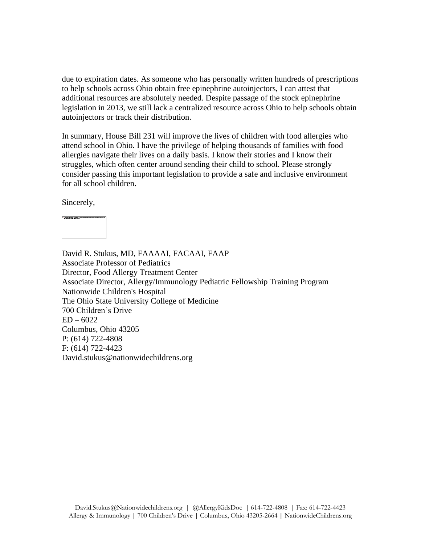due to expiration dates. As someone who has personally written hundreds of prescriptions to help schools across Ohio obtain free epinephrine autoinjectors, I can attest that additional resources are absolutely needed. Despite passage of the stock epinephrine legislation in 2013, we still lack a centralized resource across Ohio to help schools obtain autoinjectors or track their distribution.

In summary, House Bill 231 will improve the lives of children with food allergies who attend school in Ohio. I have the privilege of helping thousands of families with food allergies navigate their lives on a daily basis. I know their stories and I know their struggles, which often center around sending their child to school. Please strongly consider passing this important legislation to provide a safe and inclusive environment for all school children.

Sincerely,



David R. Stukus, MD, FAAAAI, FACAAI, FAAP Associate Professor of Pediatrics Director, Food Allergy Treatment Center Associate Director, Allergy/Immunology Pediatric Fellowship Training Program Nationwide Children's Hospital The Ohio State University College of Medicine 700 Children's Drive  $ED - 6022$ Columbus, Ohio 43205 P: (614) 722-4808 F: (614) 722-4423 David.stukus@nationwidechildrens.org